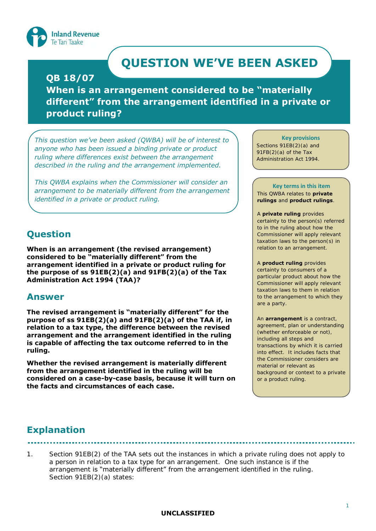

# **QUESTION WE'VE BEEN ASKED**

### **QB 18/07**

**When is an arrangement considered to be "materially different" from the arrangement identified in a private or product ruling?**

*This question we've been asked (QWBA) will be of interest to anyone who has been issued a binding private or product ruling where differences exist between the arrangement described in the ruling and the arrangement implemented.* 

*This QWBA explains when the Commissioner will consider an arrangement to be materially different from the arrangement identified in a private or product ruling.* 

# **Question**

**When is an arrangement (the revised arrangement) considered to be "materially different" from the arrangement identified in a private or product ruling for the purpose of ss 91EB(2)(a) and 91FB(2)(a) of the Tax Administration Act 1994 (TAA)?**

### **Answer**

**The revised arrangement is "materially different" for the purpose of ss 91EB(2)(a) and 91FB(2)(a) of the TAA if, in relation to a tax type, the difference between the revised arrangement and the arrangement identified in the ruling is capable of affecting the tax outcome referred to in the ruling.** 

**Whether the revised arrangement is materially different from the arrangement identified in the ruling will be considered on a case-by-case basis, because it will turn on the facts and circumstances of each case.** 

### **Key provisions**

Sections 91EB(2)(a) and 91FB(2)(a) of the Tax Administration Act 1994.

### **Key terms in this item**

This QWBA relates to **private rulings** and **product rulings**.

### A **private ruling** provides

certainty to the person(s) referred to in the ruling about how the Commissioner will apply relevant taxation laws to the person(s) in relation to an arrangement.

### A **product ruling** provides

certainty to consumers of a particular product about how the Commissioner will apply relevant taxation laws to them in relation to the arrangement to which they are a party.

An **arrangement** is a contract, agreement, plan or understanding (whether enforceable or not), including all steps and transactions by which it is carried into effect. It includes facts that the Commissioner considers are material or relevant as background or context to a private or a product ruling.

# **Explanation**

1. Section 91EB(2) of the TAA sets out the instances in which a private ruling does not apply to a person in relation to a tax type for an arrangement. One such instance is if the arrangement is "materially different" from the arrangement identified in the ruling. Section 91EB(2)(a) states: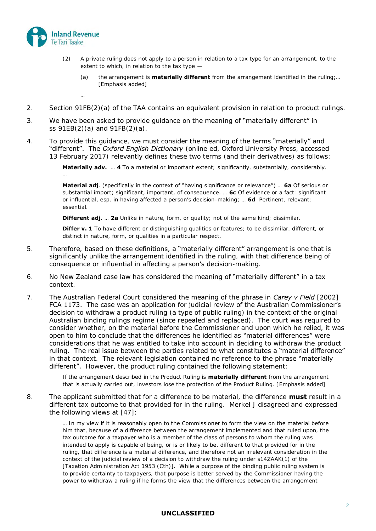

…

…

- (2) A private ruling does not apply to a person in relation to a tax type for an arrangement, to the extent to which, in relation to the tax type  $-$ 
	- (a) the arrangement is **materially different** from the arrangement identified in the ruling;… [Emphasis added]
- 2. Section 91FB(2)(a) of the TAA contains an equivalent provision in relation to product rulings.
- 3. We have been asked to provide guidance on the meaning of "materially different" in ss 91EB(2)(a) and 91FB(2)(a).
- 4. To provide this quidance, we must consider the meaning of the terms "materially" and "different". The *Oxford English Dictionary* (online ed, Oxford University Press, accessed 13 February 2017) relevantly defines these two terms (and their derivatives) as follows:

**Materially adv.** … **4** To a material or important extent; significantly, substantially, considerably.

**Material adj**. (specifically in the context of "having significance or relevance") … **6a** Of serious or substantial import; significant, important, of consequence. … **6c** Of evidence or a fact: significant or influential, esp. in having affected a person's decision-making; … **6d** Pertinent, relevant; essential.

**Different adj.** ... 2a Unlike in nature, form, or quality; not of the same kind; dissimilar.

**Differ v. 1** To have different or distinguishing qualities or features; to be dissimilar, different, or distinct in nature, form, or qualities in a particular respect.

- 5. Therefore, based on these definitions, a "materially different" arrangement is one that is significantly unlike the arrangement identified in the ruling, with that difference being of consequence or influential in affecting a person's decision-making.
- 6. No New Zealand case law has considered the meaning of "materially different" in a tax context.
- 7. The Australian Federal Court considered the meaning of the phrase in *Carey v Field* [2002] FCA 1173. The case was an application for judicial review of the Australian Commissioner's decision to withdraw a product ruling (a type of public ruling) in the context of the original Australian binding rulings regime (since repealed and replaced). The court was required to consider whether, on the material before the Commissioner and upon which he relied, it was open to him to conclude that the differences he identified as "material differences" were considerations that he was entitled to take into account in deciding to withdraw the product ruling. The real issue between the parties related to what constitutes a "material difference" in that context. The relevant legislation contained no reference to the phrase "materially different". However, the product ruling contained the following statement:

If the arrangement described in the Product Ruling is **materially different** from the arrangement that is actually carried out, investors lose the protection of the Product Ruling. [Emphasis added]

8. The applicant submitted that for a difference to be material, the difference **must** result in a different tax outcome to that provided for in the ruling. Merkel J disagreed and expressed the following views at [47]:

> … In my view if it is reasonably open to the Commissioner to form the view on the material before him that, because of a difference between the arrangement implemented and that ruled upon, the tax outcome for a taxpayer who is a member of the class of persons to whom the ruling was intended to apply is capable of being, or is or likely to be, different to that provided for in the ruling, that difference is a material difference, and therefore not an irrelevant consideration in the context of the judicial review of a decision to withdraw the ruling under s14ZAAK(1) of the [Taxation Administration Act 1953 (Cth)]. While a purpose of the binding public ruling system is to provide certainty to taxpayers, that purpose is better served by the Commissioner having the power to withdraw a ruling if he forms the view that the differences between the arrangement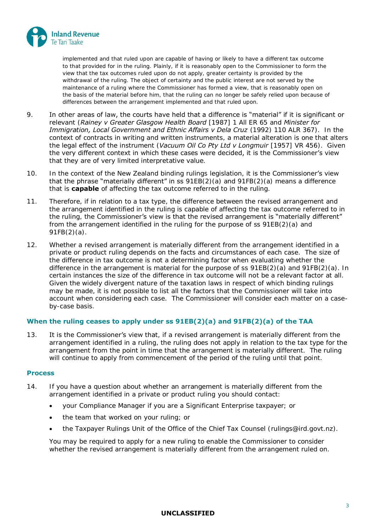

implemented and that ruled upon are capable of having or likely to have a different tax outcome to that provided for in the ruling. Plainly, if it is reasonably open to the Commissioner to form the view that the tax outcomes ruled upon do not apply, greater certainty is provided by the withdrawal of the ruling. The object of certainty and the public interest are not served by the maintenance of a ruling where the Commissioner has formed a view, that is reasonably open on the basis of the material before him, that the ruling can no longer be safely relied upon because of differences between the arrangement implemented and that ruled upon.

- 9. In other areas of law, the courts have held that a difference is "material" if it is significant or relevant (*Rainey v Greater Glasgow Health Board* [1987] 1 All ER 65 and *Minister for Immigration, Local Government and Ethnic Affairs v Dela Cruz* (1992) 110 ALR 367). In the context of contracts in writing and written instruments, a material alteration is one that alters the legal effect of the instrument (*Vacuum Oil Co Pty Ltd v Longmuir* [1957] VR 456). Given the very different context in which these cases were decided, it is the Commissioner's view that they are of very limited interpretative value.
- 10. In the context of the New Zealand binding rulings legislation, it is the Commissioner's view that the phrase "materially different" in ss  $91EB(2)(a)$  and  $91FB(2)(a)$  means a difference that is **capable** of affecting the tax outcome referred to in the ruling.
- 11. Therefore, if in relation to a tax type, the difference between the revised arrangement and the arrangement identified in the ruling is capable of affecting the tax outcome referred to in the ruling, the Commissioner's view is that the revised arrangement is "materially different" from the arrangement identified in the ruling for the purpose of ss 91EB(2)(a) and 91FB(2)(a).
- 12. Whether a revised arrangement is materially different from the arrangement identified in a private or product ruling depends on the facts and circumstances of each case. The size of the difference in tax outcome is not a determining factor when evaluating whether the difference in the arrangement is material for the purpose of ss 91EB(2)(a) and 91FB(2)(a). In certain instances the size of the difference in tax outcome will not be a relevant factor at all. Given the widely divergent nature of the taxation laws in respect of which binding rulings may be made, it is not possible to list all the factors that the Commissioner will take into account when considering each case. The Commissioner will consider each matter on a caseby-case basis.

### **When the ruling ceases to apply under ss 91EB(2)(a) and 91FB(2)(a) of the TAA**

13. It is the Commissioner's view that, if a revised arrangement is materially different from the arrangement identified in a ruling, the ruling does not apply in relation to the tax type for the arrangement from the point in time that the arrangement is materially different. The ruling will continue to apply from commencement of the period of the ruling until that point.

### **Process**

- 14. If you have a question about whether an arrangement is materially different from the arrangement identified in a private or product ruling you should contact:
	- your Compliance Manager if you are a Significant Enterprise taxpayer; or
	- the team that worked on your ruling; or
	- the Taxpayer Rulings Unit of the Office of the Chief Tax Counsel (rulings@ird.govt.nz).

You may be required to apply for a new ruling to enable the Commissioner to consider whether the revised arrangement is materially different from the arrangement ruled on.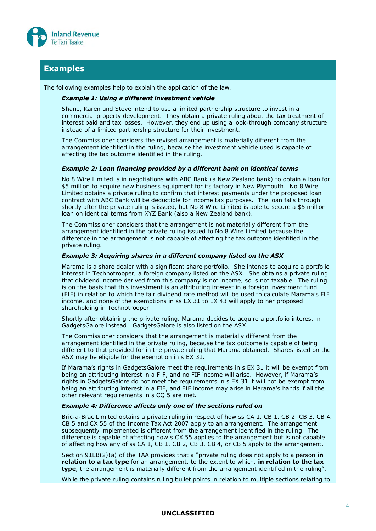

### **Examples**

The following examples help to explain the application of the law.

#### *Example 1: Using a different investment vehicle*

Shane, Karen and Steve intend to use a limited partnership structure to invest in a commercial property development. They obtain a private ruling about the tax treatment of interest paid and tax losses. However, they end up using a look-through company structure instead of a limited partnership structure for their investment.

The Commissioner considers the revised arrangement is materially different from the arrangement identified in the ruling, because the investment vehicle used is capable of affecting the tax outcome identified in the ruling.

#### *Example 2: Loan financing provided by a different bank on identical terms*

No 8 Wire Limited is in negotiations with ABC Bank (a New Zealand bank) to obtain a loan for \$5 million to acquire new business equipment for its factory in New Plymouth. No 8 Wire Limited obtains a private ruling to confirm that interest payments under the proposed loan contract with ABC Bank will be deductible for income tax purposes. The loan falls through shortly after the private ruling is issued, but No 8 Wire Limited is able to secure a \$5 million loan on identical terms from XYZ Bank (also a New Zealand bank).

The Commissioner considers that the arrangement is not materially different from the arrangement identified in the private ruling issued to No 8 Wire Limited because the difference in the arrangement is not capable of affecting the tax outcome identified in the private ruling.

### *Example 3: Acquiring shares in a different company listed on the ASX*

Marama is a share dealer with a significant share portfolio. She intends to acquire a portfolio interest in Technotrooper, a foreign company listed on the ASX. She obtains a private ruling that dividend income derived from this company is not income, so is not taxable. The ruling is on the basis that this investment is an attributing interest in a foreign investment fund (FIF) in relation to which the fair dividend rate method will be used to calculate Marama's FIF income, and none of the exemptions in ss EX 31 to EX 43 will apply to her proposed shareholding in Technotrooper.

Shortly after obtaining the private ruling, Marama decides to acquire a portfolio interest in GadgetsGalore instead. GadgetsGalore is also listed on the ASX.

The Commissioner considers that the arrangement is materially different from the arrangement identified in the private ruling, because the tax outcome is capable of being different to that provided for in the private ruling that Marama obtained. Shares listed on the ASX may be eligible for the exemption in s EX 31.

If Marama's rights in GadgetsGalore meet the requirements in s EX 31 it will be exempt from being an attributing interest in a FIF, and no FIF income will arise. However, if Marama's rights in GadgetsGalore do not meet the requirements in s EX 31 it will not be exempt from being an attributing interest in a FIF, and FIF income may arise in Marama's hands if all the other relevant requirements in s CQ 5 are met.

### *Example 4: Difference affects only one of the sections ruled on*

Bric-a-Brac Limited obtains a private ruling in respect of how ss CA 1, CB 1, CB 2, CB 3, CB 4, CB 5 and CX 55 of the Income Tax Act 2007 apply to an arrangement. The arrangement subsequently implemented is different from the arrangement identified in the ruling. The difference is capable of affecting how s CX 55 applies to the arrangement but is not capable of affecting how any of ss CA 1, CB 1, CB 2, CB 3, CB 4, or CB 5 apply to the arrangement.

Section 91EB(2)(a) of the TAA provides that a "private ruling does not apply to a person **in relation to a tax type** for an arrangement, to the extent to which, **in relation to the tax type**, the arrangement is materially different from the arrangement identified in the ruling".

While the private ruling contains ruling bullet points in relation to multiple sections relating to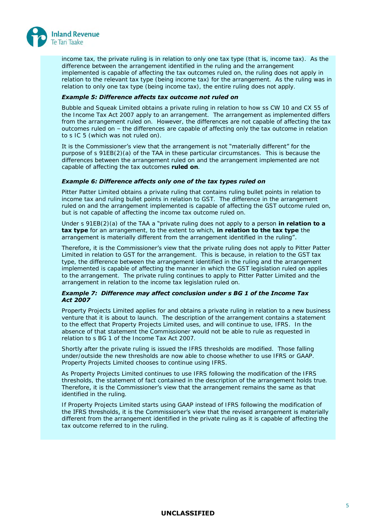

income tax, the private ruling is in relation to only one tax type (that is, income tax). As the difference between the arrangement identified in the ruling and the arrangement implemented is capable of affecting the tax outcomes ruled on, the ruling does not apply in relation to the relevant tax type (being income tax) for the arrangement. As the ruling was in relation to only one tax type (being income tax), the entire ruling does not apply.

### *Example 5: Difference affects tax outcome not ruled on*

Bubble and Squeak Limited obtains a private ruling in relation to how ss CW 10 and CX 55 of the Income Tax Act 2007 apply to an arrangement. The arrangement as implemented differs from the arrangement ruled on. However, the differences are not capable of affecting the tax outcomes ruled on – the differences are capable of affecting only the tax outcome in relation to s IC 5 (which was not ruled on).

It is the Commissioner's view that the arrangement is not "materially different" for the purpose of s 91EB(2)(a) of the TAA in these particular circumstances. This is because the differences between the arrangement ruled on and the arrangement implemented are not capable of affecting the tax outcomes **ruled on**.

### *Example 6: Difference affects only one of the tax types ruled on*

Pitter Patter Limited obtains a private ruling that contains ruling bullet points in relation to income tax and ruling bullet points in relation to GST. The difference in the arrangement ruled on and the arrangement implemented is capable of affecting the GST outcome ruled on, but is not capable of affecting the income tax outcome ruled on.

Under s 91EB(2)(a) of the TAA a "private ruling does not apply to a person **in relation to a tax type** for an arrangement, to the extent to which, **in relation to the tax type** the arrangement is materially different from the arrangement identified in the ruling".

Therefore, it is the Commissioner's view that the private ruling does not apply to Pitter Patter Limited in relation to GST for the arrangement. This is because, in relation to the GST tax type, the difference between the arrangement identified in the ruling and the arrangement implemented is capable of affecting the manner in which the GST legislation ruled on applies to the arrangement. The private ruling continues to apply to Pitter Patter Limited and the arrangement in relation to the income tax legislation ruled on.

### *Example 7: Difference may affect conclusion under s BG 1 of the Income Tax Act 2007*

Property Projects Limited applies for and obtains a private ruling in relation to a new business venture that it is about to launch. The description of the arrangement contains a statement to the effect that Property Projects Limited uses, and will continue to use, IFRS. In the absence of that statement the Commissioner would not be able to rule as requested in relation to s BG 1 of the Income Tax Act 2007.

Shortly after the private ruling is issued the IFRS thresholds are modified. Those falling under/outside the new thresholds are now able to choose whether to use IFRS or GAAP. Property Projects Limited chooses to continue using IFRS.

As Property Projects Limited continues to use IFRS following the modification of the IFRS thresholds, the statement of fact contained in the description of the arrangement holds true. Therefore, it is the Commissioner's view that the arrangement remains the same as that identified in the ruling.

If Property Projects Limited starts using GAAP instead of IFRS following the modification of the IFRS thresholds, it is the Commissioner's view that the revised arrangement is materially different from the arrangement identified in the private ruling as it is capable of affecting the tax outcome referred to in the ruling.